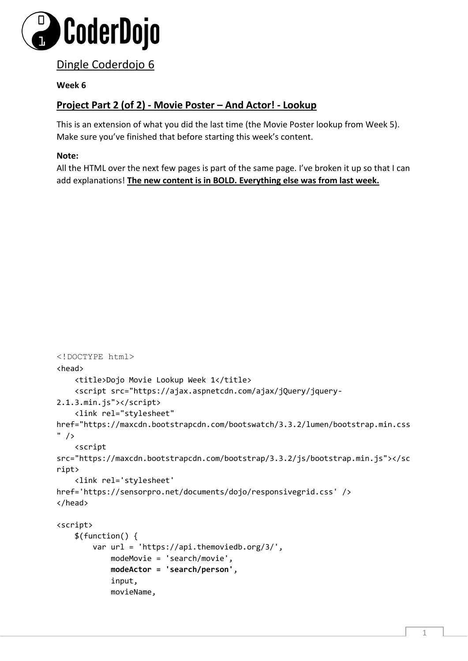

## Dingle Coderdojo 6

## **Week 6**

## **Project Part 2 (of 2) - Movie Poster – And Actor! - Lookup**

This is an extension of what you did the last time (the Movie Poster lookup from Week 5). Make sure you've finished that before starting this week's content.

## **Note:**

All the HTML over the next few pages is part of the same page. I've broken it up so that I can add explanations! **The new content is in BOLD. Everything else was from last week.** 

```
<!DOCTYPE html> 
<head>
     <title>Dojo Movie Lookup Week 1</title>
     <script src="https://ajax.aspnetcdn.com/ajax/jQuery/jquery-
2.1.3.min.js"></script>
     <link rel="stylesheet" 
href="https://maxcdn.bootstrapcdn.com/bootswatch/3.3.2/lumen/bootstrap.min.css
" />
     <script 
src="https://maxcdn.bootstrapcdn.com/bootstrap/3.3.2/js/bootstrap.min.js"></sc
ript>
     <link rel='stylesheet' 
href='https://sensorpro.net/documents/dojo/responsivegrid.css' />
</head>
<script>
     $(function() {
         var url = 'https://api.themoviedb.org/3/',
             modeMovie = 'search/movie',
             modeActor = 'search/person',
             input,
             movieName,
```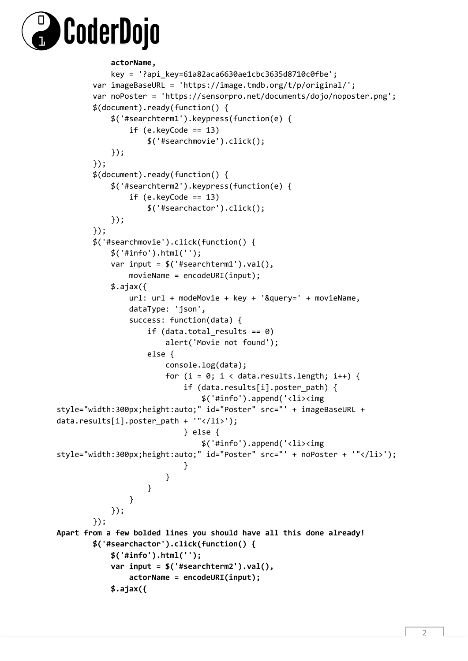

```
 actorName,
            key = '?api_key=61a82aca6630ae1cbc3635d8710c0fbe';
        var imageBaseURL = 'https://image.tmdb.org/t/p/original/';
        var noPoster = 'https://sensorpro.net/documents/dojo/noposter.png';
        $(document).ready(function() {
            $('#searchterm1').keypress(function(e) {
               if (e.keyCode == 13) $('#searchmovie').click();
            });
        });
        $(document).ready(function() {
            $('#searchterm2').keypress(function(e) {
               if (e.keyCode == 13) $('#searchactor').click();
            });
        });
        $('#searchmovie').click(function() {
            $('#info').html('');
            var input = $('#searchterm1').val(),
                movieName = encodeURI(input);
           $.ajax({ url: url + modeMovie + key + '&query=' + movieName,
                dataType: 'json',
                success: function(data) {
                   if (data.total results == 0)
                        alert('Movie not found');
                    else {
                        console.log(data);
                       for (i = 0; i < data. results.length; i++) {
                            if (data.results[i].poster_path) {
                                $('#info').append('<li><img 
style="width:300px;height:auto;" id="Poster" src="' + imageBaseURL + 
data.results[i].poster_path + '"</li>');
                            } else {
                                $('#info').append('<li><img 
style="width:300px;height:auto;" id="Poster" src="' + noPoster + '"</li>');
 }
  }
 }
 }
            });
        });
Apart from a few bolded lines you should have all this done already!
        $('#searchactor').click(function() {
            $('#info').html('');
            var input = $('#searchterm2').val(),
                actorName = encodeURI(input);
            $.ajax({
```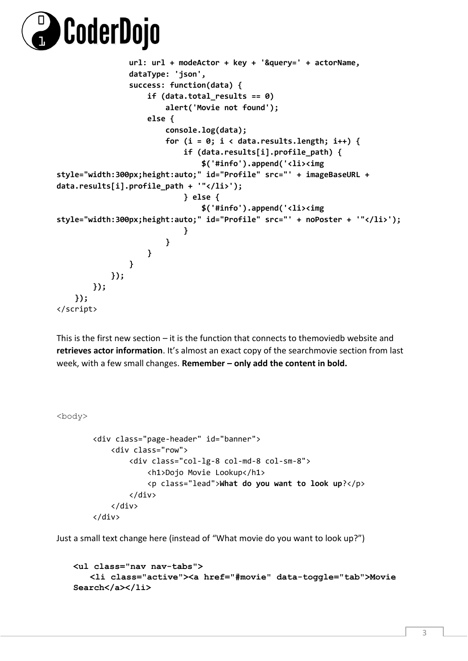

```
 url: url + modeActor + key + '&query=' + actorName,
               dataType: 'json',
               success: function(data) {
                   if (data.total_results == 0)
                       alert('Movie not found');
                   else {
                       console.log(data);
                      for (i = 0; i < data.results.length; i++) {
                          if (data.results[i].profile_path) {
                              $('#info').append('<li><img 
style="width:300px;height:auto;" id="Profile" src="' + imageBaseURL + 
data.results[i].profile_path + '"</li>');
                          } else {
                              $('#info').append('<li><img 
style="width:300px;height:auto;" id="Profile" src="' + noPoster + '"</li>');
 }
 }
 }
  }
           });
        });
    });
</script>
```
This is the first new section – it is the function that connects to themoviedb website and **retrieves actor information**. It's almost an exact copy of the searchmovie section from last week, with a few small changes. **Remember – only add the content in bold.**

<body>

```
 <div class="page-header" id="banner">
     <div class="row">
         <div class="col-lg-8 col-md-8 col-sm-8">
             <h1>Dojo Movie Lookup</h1>
             <p class="lead">What do you want to look up?</p>
         </div>
     </div>
 </div>
```
Just a small text change here (instead of "What movie do you want to look up?")

```
<ul class="nav nav-tabs"> 
   <li class="active"><a href="#movie" data-toggle="tab">Movie 
Search</a></li>
```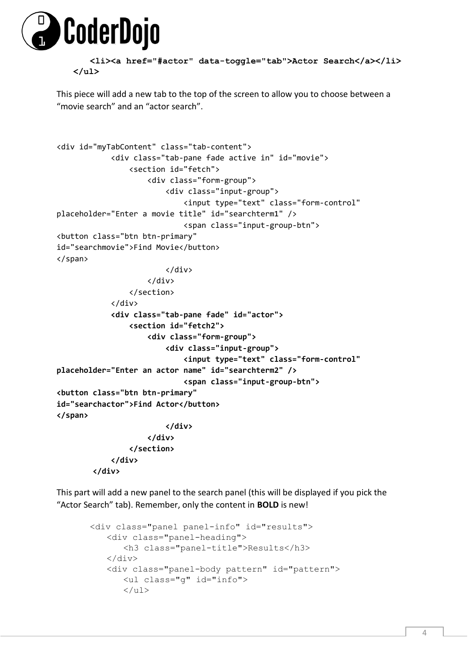

**<li><a href="#actor" data-toggle="tab">Actor Search</a></li> </ul>**

This piece will add a new tab to the top of the screen to allow you to choose between a "movie search" and an "actor search".

```
<div id="myTabContent" class="tab-content">
             <div class="tab-pane fade active in" id="movie">
                 <section id="fetch">
                      <div class="form-group">
                          <div class="input-group">
                              <input type="text" class="form-control" 
placeholder="Enter a movie title" id="searchterm1" />
                              <span class="input-group-btn">
<button class="btn btn-primary"
id="searchmovie">Find Movie</button>
</span>
                          </div>
                      </div>
                 </section>
             </div>
             <div class="tab-pane fade" id="actor">
                 <section id="fetch2">
                      <div class="form-group">
                          <div class="input-group">
                              <input type="text" class="form-control" 
placeholder="Enter an actor name" id="searchterm2" />
                              <span class="input-group-btn">
<button class="btn btn-primary"
id="searchactor">Find Actor</button>
</span>
                          </div>
                      </div>
                 </section>
             </div>
         </div>
```
This part will add a new panel to the search panel (this will be displayed if you pick the "Actor Search" tab). Remember, only the content in **BOLD** is new!

```
<div class="panel panel-info" id="results"> 
   <div class="panel-heading"> 
      <h3 class="panel-title">Results</h3> 
   </div> 
   <div class="panel-body pattern" id="pattern"> 
      <ul class="g" id="info"> 
      \langle/ul>
```